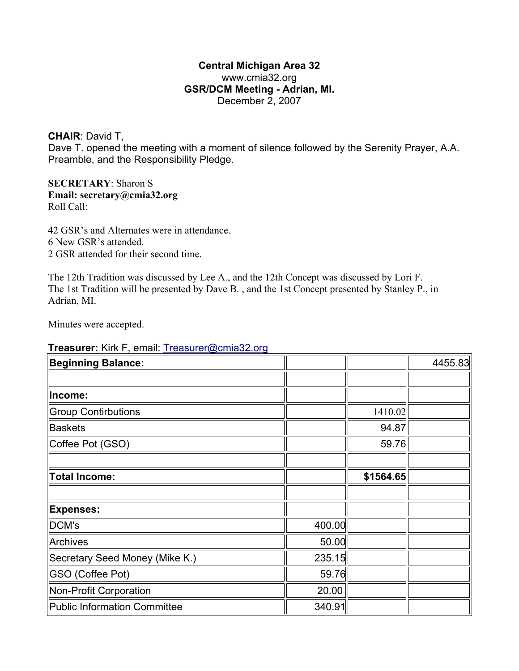## **Central Michigan Area 32** www.cmia32.org **GSR/DCM Meeting - Adrian, MI.** December 2, 2007

**CHAIR**: David T,

Dave T. opened the meeting with a moment of silence followed by the Serenity Prayer, A.A. Preamble, and the Responsibility Pledge.

## **SECRETARY**: Sharon S **Email: secretary@cmia32.org** Roll Call:

42 GSR's and Alternates were in attendance. 6 New GSR's attended. 2 GSR attended for their second time.

The 12th Tradition was discussed by Lee A., and the 12th Concept was discussed by Lori F. The 1st Tradition will be presented by Dave B. , and the 1st Concept presented by Stanley P., in Adrian, MI.

Minutes were accepted.

## **Treasurer:** Kirk F, email: [Treasurer@cmia32.org](mailto:Treasurer@cmia32.org)

| <b>Beginning Balance:</b>           |        |           | 4455.83 |
|-------------------------------------|--------|-----------|---------|
|                                     |        |           |         |
| Income:                             |        |           |         |
| <b>Group Contirbutions</b>          |        | 1410.02   |         |
| <b>Baskets</b>                      |        | 94.87     |         |
| Coffee Pot (GSO)                    |        | 59.76     |         |
|                                     |        |           |         |
| <b>Total Income:</b>                |        | \$1564.65 |         |
|                                     |        |           |         |
| <b>Expenses:</b>                    |        |           |         |
| DCM's                               | 400.00 |           |         |
| Archives                            | 50.00  |           |         |
| Secretary Seed Money (Mike K.)      | 235.15 |           |         |
| <b>GSO (Coffee Pot)</b>             | 59.76  |           |         |
| Non-Profit Corporation              | 20.00  |           |         |
| <b>Public Information Committee</b> | 340.91 |           |         |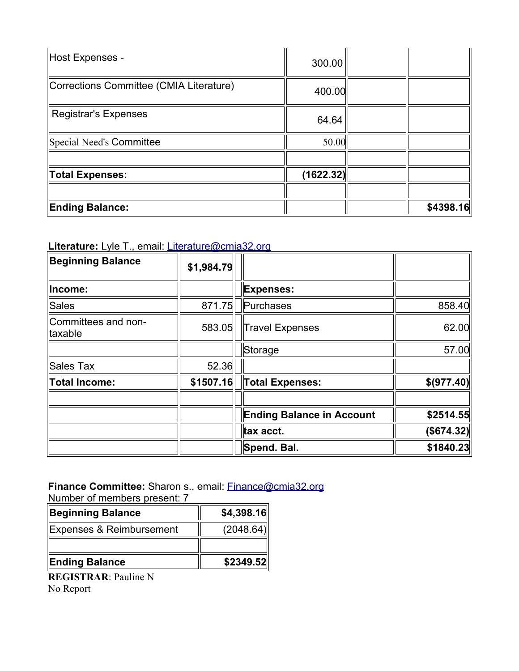| Host Expenses -                         | 300.00    |           |
|-----------------------------------------|-----------|-----------|
| Corrections Committee (CMIA Literature) | 400.00    |           |
| <b>Registrar's Expenses</b>             | 64.64     |           |
| Special Need's Committee                | 50.00     |           |
|                                         |           |           |
| Total Expenses:                         | (1622.32) |           |
|                                         |           |           |
| <b>Ending Balance:</b>                  |           | \$4398.16 |

**Literature:** Lyle T., email: [Literature@cmia32.org](mailto:Literature@cmia32.org)

| <b>Beginning Balance</b>       | \$1,984.79 |                                  |             |
|--------------------------------|------------|----------------------------------|-------------|
| Income:                        |            | <b>Expenses:</b>                 |             |
| Sales                          | 871.75     | Purchases                        | 858.40      |
| Committees and non-<br>taxable | 583.05     | <b>Travel Expenses</b>           | 62.00       |
|                                |            | Storage                          | 57.00       |
| Sales Tax                      | 52.36      |                                  |             |
| <b>Total Income:</b>           | \$1507.16  | Total Expenses:                  | \$(977.40)  |
|                                |            | <b>Ending Balance in Account</b> | \$2514.55   |
|                                |            | tax acct.                        | ( \$674.32) |
|                                |            | Spend. Bal.                      | \$1840.23   |

**Finance Committee:** Sharon s., email: [Finance@cmia32.org](mailto:Finance@cmia32.org) Number of members present: 7

| <b>Beginning Balance</b> | \$4,398.16 |
|--------------------------|------------|
| Expenses & Reimbursement | (2048.64)  |
|                          |            |
| <b>Ending Balance</b>    | \$2349.52  |

**REGISTRAR**: Pauline N No Report